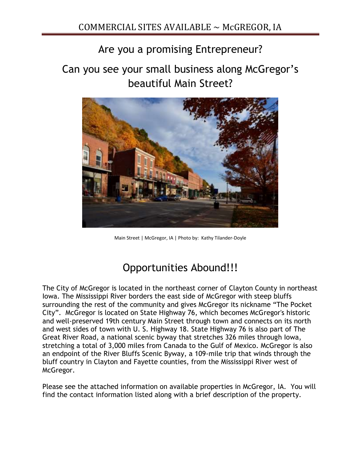## Are you a promising Entrepreneur?

Can you see your small business along McGregor's beautiful Main Street?



Main Street | McGregor, IA | Photo by: Kathy Tilander-Doyle

# Opportunities Abound!!!

The City of McGregor is located in the northeast corner of Clayton County in northeast Iowa. The Mississippi River borders the east side of McGregor with steep bluffs surrounding the rest of the community and gives McGregor its nickname "The Pocket City". McGregor is located on State Highway 76, which becomes McGregor's historic and well-preserved 19th century Main Street through town and connects on its north and west sides of town with U. S. Highway 18. State Highway 76 is also part of The Great River Road, a national scenic byway that stretches 326 miles through Iowa, stretching a total of 3,000 miles from Canada to the Gulf of Mexico. McGregor is also an endpoint of the River Bluffs Scenic Byway, a 109-mile trip that winds through the bluff country in Clayton and Fayette counties, from the Mississippi River west of McGregor.

Please see the attached information on available properties in McGregor, IA. You will find the contact information listed along with a brief description of the property.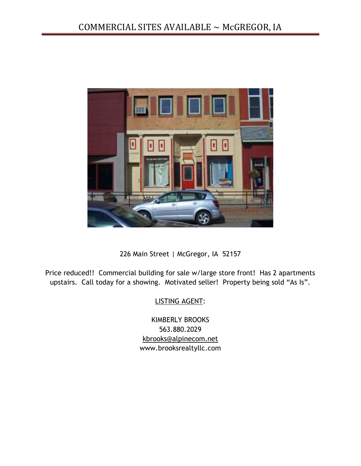

226 Main Street | McGregor, IA 52157

Price reduced!! Commercial building for sale w/large store front! Has 2 apartments upstairs. Call today for a showing. Motivated seller! Property being sold "As Is".

LISTING AGENT:

KIMBERLY BROOKS 563.880.2029 [kbrooks@alpinecom.net](mailto:kbrooks@alpinecom.net) www.brooksrealtyllc.com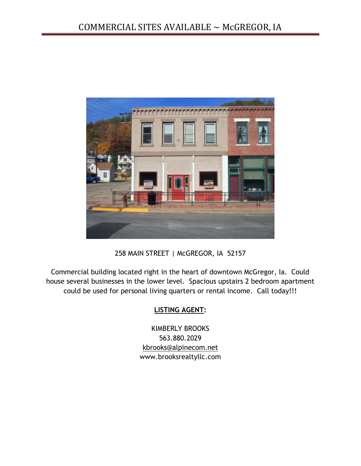

258 MAIN STREET | McGREGOR, IA 52157

Commercial building located right in the heart of downtown McGregor, Ia. Could house several businesses in the lower level. Spacious upstairs 2 bedroom apartment could be used for personal living quarters or rental income. Call today!!!

#### **LISTING AGENT:**

KIMBERLY BROOKS 563.880.2029 [kbrooks@alpinecom.net](mailto:kbrooks@alpinecom.net) www.brooksrealtyllc.com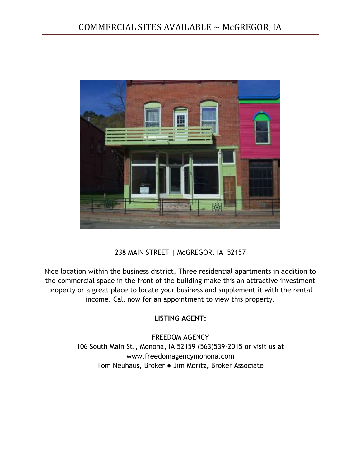

238 MAIN STREET | McGREGOR, IA 52157

Nice location within the business district. Three residential apartments in addition to the commercial space in the front of the building make this an attractive investment property or a great place to locate your business and supplement it with the rental income. Call now for an appointment to view this property.

#### **LISTING AGENT:**

FREEDOM AGENCY 106 South Main St., Monona, IA 52159 (563)539-2015 or visit us at www.freedomagencymonona.com Tom Neuhaus, Broker ● Jim Moritz, Broker Associate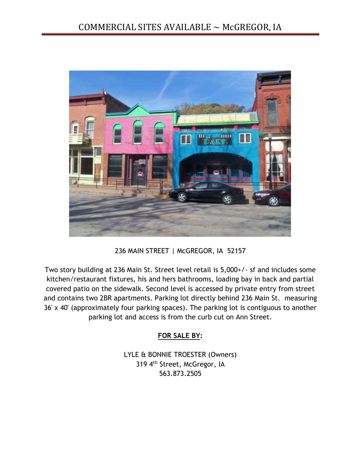

236 MAIN STREET | McGREGOR, IA 52157

Two story building at 236 Main St. Street level retail is 5,000+/- sf and includes some kitchen/restaurant fixtures, his and hers bathrooms, loading bay in back and partial covered patio on the sidewalk. Second level is accessed by private entry from street and contains two 2BR apartments. Parking lot directly behind 236 Main St. measuring 36' x 40' (approximately four parking spaces). The parking lot is contiguous to another parking lot and access is from the curb cut on Ann Street.

## **FOR SALE BY:**

LYLE & BONNIE TROESTER (Owners) 319 4th Street, McGregor, IA 563.873.2505